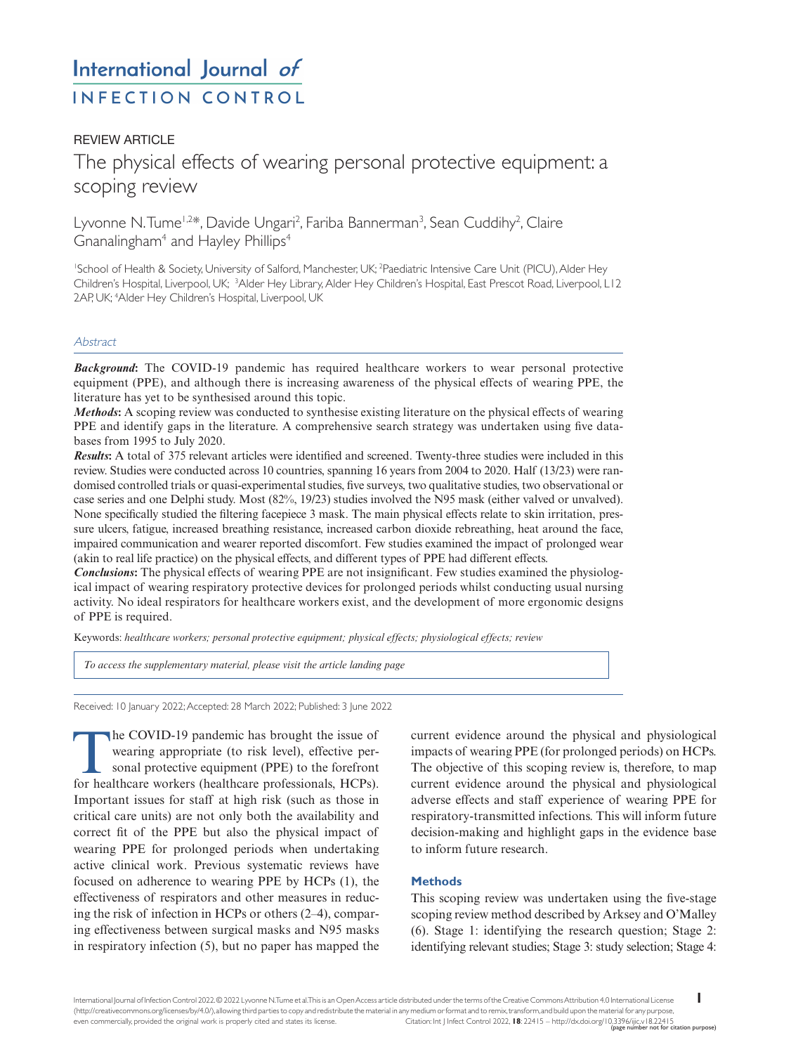# International Journal of **INFECTION CONTROL**

## **REVIEW ARTICLE**

## The physical effects of wearing personal protective equipment: a scoping review

Lyvonne N.Tume<sup>1,2\*</sup>, Davide Ungari<sup>2</sup>, Fariba Bannerman<sup>3</sup>, Sean Cuddihy<sup>2</sup>, Claire Gnanalingham<sup>4</sup> and Hayley Phillips<sup>4</sup>

1 School of Health & Society, University of Salford, Manchester, UK; 2 Paediatric Intensive Care Unit (PICU), Alder Hey Children's Hospital, Liverpool, UK; <sup>3</sup>Alder Hey Library, Alder Hey Children's Hospital, East Prescot Road, Liverpool, L12 2AP, UK; 4 Alder Hey Children's Hospital, Liverpool, UK

## **Abstract**

*Background*: The COVID-19 pandemic has required healthcare workers to wear personal protective equipment (PPE), and although there is increasing awareness of the physical effects of wearing PPE, the literature has yet to be synthesised around this topic.

*Methods***:** A scoping review was conducted to synthesise existing literature on the physical effects of wearing PPE and identify gaps in the literature. A comprehensive search strategy was undertaken using five databases from 1995 to July 2020.

*Results***:** A total of 375 relevant articles were identified and screened. Twenty-three studies were included in this review. Studies were conducted across 10 countries, spanning 16 years from 2004 to 2020. Half (13/23) were randomised controlled trials or quasi-experimental studies, five surveys, two qualitative studies, two observational or case series and one Delphi study. Most (82%, 19/23) studies involved the N95 mask (either valved or unvalved). None specifically studied the filtering facepiece 3 mask. The main physical effects relate to skin irritation, pressure ulcers, fatigue, increased breathing resistance, increased carbon dioxide rebreathing, heat around the face, impaired communication and wearer reported discomfort. Few studies examined the impact of prolonged wear (akin to real life practice) on the physical effects, and different types of PPE had different effects.

*Conclusions***:** The physical effects of wearing PPE are not insignificant. Few studies examined the physiological impact of wearing respiratory protective devices for prolonged periods whilst conducting usual nursing activity. No ideal respirators for healthcare workers exist, and the development of more ergonomic designs of PPE is required.

Keywords: *healthcare workers; personal protective equipment; physical effects; physiological effects; review* 

*[To access the supplementary material, please visit the article landing page](http://dx.doi.org/10.3396/ijic.v18.22415)*

Received: 10 January 2022; Accepted: 28 March 2022; Published: 3 June 2022

The COVID-19 pandemic has brought the issue of<br>wearing appropriate (to risk level), effective per-<br>sonal protective equipment (PPE) to the forefront<br>for healthcare workers (healthcare professionals HCPs) wearing appropriate (to risk level), effective personal protective equipment (PPE) to the forefront for healthcare workers (healthcare professionals, HCPs). Important issues for staff at high risk (such as those in critical care units) are not only both the availability and correct fit of the PPE but also the physical impact of wearing PPE for prolonged periods when undertaking active clinical work. Previous systematic reviews have focused on adherence to wearing PPE by HCPs (1), the effectiveness of respirators and other measures in reducing the risk of infection in HCPs or others (2–4), comparing effectiveness between surgical masks and N95 masks in respiratory infection (5), but no paper has mapped the

current evidence around the physical and physiological impacts of wearing PPE (for prolonged periods) on HCPs. The objective of this scoping review is, therefore, to map current evidence around the physical and physiological adverse effects and staff experience of wearing PPE for respiratory-transmitted infections. This will inform future decision-making and highlight gaps in the evidence base to inform future research.

## **Methods**

This scoping review was undertaken using the five-stage scoping review method described by Arksey and O'Malley (6). Stage 1: identifying the research question; Stage 2: identifying relevant studies; Stage 3: study selection; Stage 4: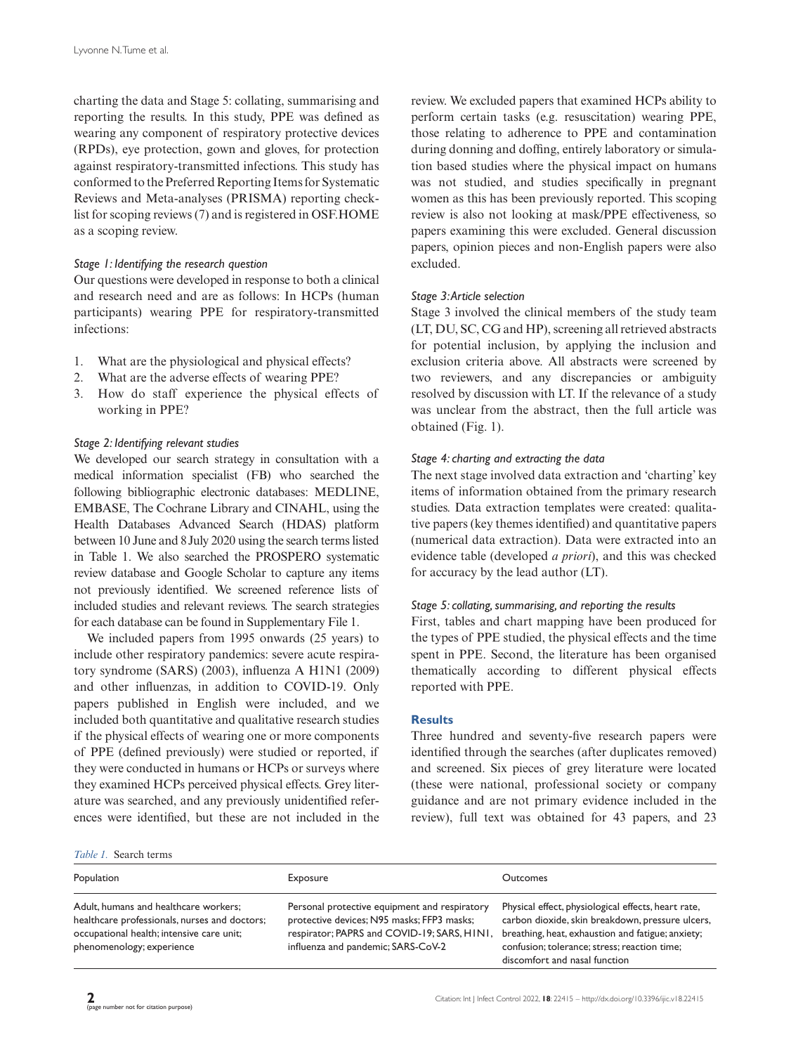charting the data and Stage 5: collating, summarising and reporting the results. In this study, PPE was defined as wearing any component of respiratory protective devices (RPDs), eye protection, gown and gloves, for protection against respiratory-transmitted infections. This study has conformed to the Preferred Reporting Items for Systematic Reviews and Meta-analyses (PRISMA) reporting checklist for scoping reviews (7) and is registered in OSF.HOME as a scoping review.

## *Stage 1: Identifying the research question*

Our questions were developed in response to both a clinical and research need and are as follows: In HCPs (human participants) wearing PPE for respiratory-transmitted infections:

- 1. What are the physiological and physical effects?
- 2. What are the adverse effects of wearing PPE?
- 3. How do staff experience the physical effects of working in PPE?

## *Stage 2: Identifying relevant studies*

We developed our search strategy in consultation with a medical information specialist (FB) who searched the following bibliographic electronic databases: MEDLINE, EMBASE, The Cochrane Library and CINAHL, using the Health Databases Advanced Search (HDAS) platform between 10 June and 8July 2020 using the search terms listed in Table 1. We also searched the PROSPERO systematic review database and Google Scholar to capture any items not previously identified. We screened reference lists of included studies and relevant reviews. The search strategies for each database can be found in Supplementary File 1.

We included papers from 1995 onwards (25 years) to include other respiratory pandemics: severe acute respiratory syndrome (SARS) (2003), influenza A H1N1 (2009) and other influenzas, in addition to COVID-19. Only papers published in English were included, and we included both quantitative and qualitative research studies if the physical effects of wearing one or more components of PPE (defined previously) were studied or reported, if they were conducted in humans or HCPs or surveys where they examined HCPs perceived physical effects. Grey literature was searched, and any previously unidentified references were identified, but these are not included in the

review. We excluded papers that examined HCPs ability to perform certain tasks (e.g. resuscitation) wearing PPE, those relating to adherence to PPE and contamination during donning and doffing, entirely laboratory or simulation based studies where the physical impact on humans was not studied, and studies specifically in pregnant women as this has been previously reported. This scoping review is also not looking at mask/PPE effectiveness, so papers examining this were excluded. General discussion papers, opinion pieces and non-English papers were also excluded.

## *Stage 3: Article selection*

Stage 3 involved the clinical members of the study team (LT, DU, SC, CG and HP), screening all retrieved abstracts for potential inclusion, by applying the inclusion and exclusion criteria above. All abstracts were screened by two reviewers, and any discrepancies or ambiguity resolved by discussion with LT. If the relevance of a study was unclear from the abstract, then the full article was obtained (Fig. 1).

## *Stage 4: charting and extracting the data*

The next stage involved data extraction and 'charting' key items of information obtained from the primary research studies. Data extraction templates were created: qualitative papers (key themes identified) and quantitative papers (numerical data extraction). Data were extracted into an evidence table (developed *a priori*), and this was checked for accuracy by the lead author (LT).

## *Stage 5: collating, summarising, and reporting the results*

First, tables and chart mapping have been produced for the types of PPE studied, the physical effects and the time spent in PPE. Second, the literature has been organised thematically according to different physical effects reported with PPE.

## **Results**

Three hundred and seventy-five research papers were identified through the searches (after duplicates removed) and screened. Six pieces of grey literature were located (these were national, professional society or company guidance and are not primary evidence included in the review), full text was obtained for 43 papers, and 23

#### *Table 1.* Search terms

| Population                                                                                                                                                       | Exposure                                                                                                                                                                         | <b>Outcomes</b>                                                                                                                                                                                                                               |
|------------------------------------------------------------------------------------------------------------------------------------------------------------------|----------------------------------------------------------------------------------------------------------------------------------------------------------------------------------|-----------------------------------------------------------------------------------------------------------------------------------------------------------------------------------------------------------------------------------------------|
| Adult, humans and healthcare workers;<br>healthcare professionals, nurses and doctors;<br>occupational health; intensive care unit;<br>phenomenology; experience | Personal protective equipment and respiratory<br>protective devices; N95 masks; FFP3 masks;<br>respirator; PAPRS and COVID-19; SARS, H1N1,<br>influenza and pandemic; SARS-CoV-2 | Physical effect, physiological effects, heart rate,<br>carbon dioxide, skin breakdown, pressure ulcers,<br>breathing, heat, exhaustion and fatigue; anxiety;<br>confusion; tolerance; stress; reaction time;<br>discomfort and nasal function |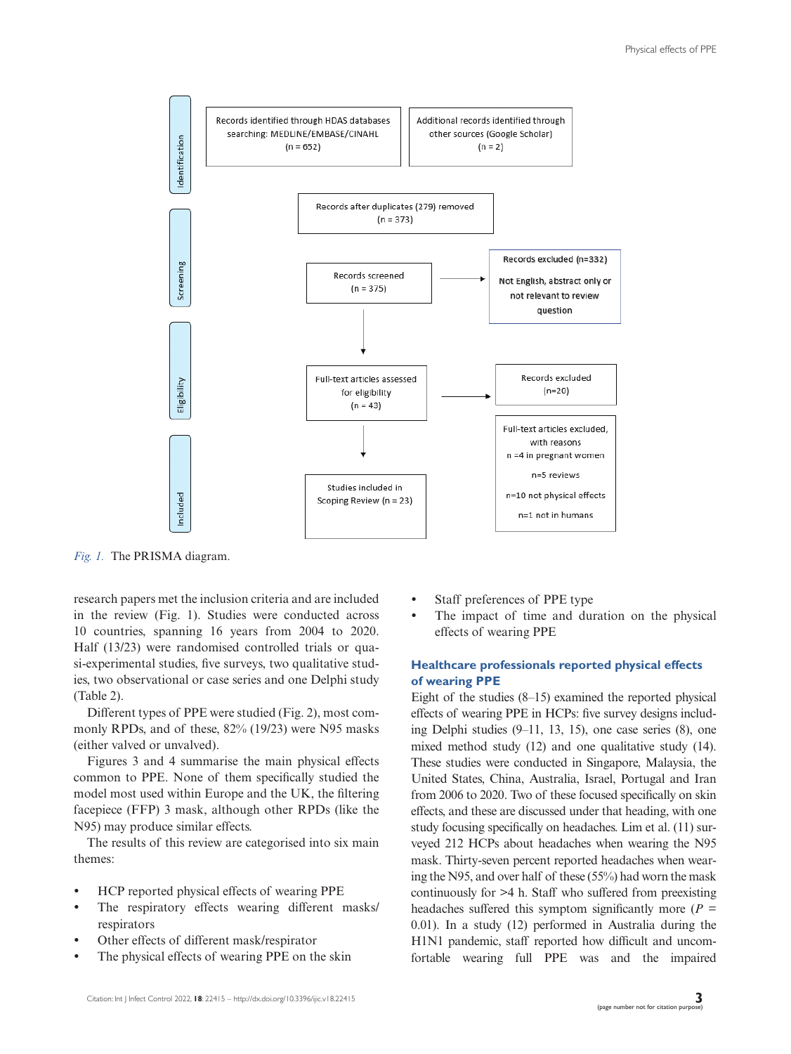

*Fig. 1.* The PRISMA diagram.

research papers met the inclusion criteria and are included in the review (Fig. 1). Studies were conducted across 10 countries, spanning 16 years from 2004 to 2020. Half (13/23) were randomised controlled trials or quasi-experimental studies, five surveys, two qualitative studies, two observational or case series and one Delphi study (Table 2).

Different types of PPE were studied (Fig. 2), most commonly RPDs, and of these, 82% (19/23) were N95 masks (either valved or unvalved).

Figures 3 and 4 summarise the main physical effects common to PPE. None of them specifically studied the model most used within Europe and the UK, the filtering facepiece (FFP) 3 mask, although other RPDs (like the N95) may produce similar effects.

The results of this review are categorised into six main themes:

- HCP reported physical effects of wearing PPE
- The respiratory effects wearing different masks/ respirators
- Other effects of different mask/respirator
- The physical effects of wearing PPE on the skin
- Staff preferences of PPE type
- The impact of time and duration on the physical effects of wearing PPE

## **Healthcare professionals reported physical effects of wearing PPE**

Eight of the studies (8–15) examined the reported physical effects of wearing PPE in HCPs: five survey designs including Delphi studies (9–11, 13, 15), one case series (8), one mixed method study (12) and one qualitative study (14). These studies were conducted in Singapore, Malaysia, the United States, China, Australia, Israel, Portugal and Iran from 2006 to 2020. Two of these focused specifically on skin effects, and these are discussed under that heading, with one study focusing specifically on headaches. Lim et al. (11) surveyed 212 HCPs about headaches when wearing the N95 mask. Thirty-seven percent reported headaches when wearing the N95, and over half of these (55%) had worn the mask continuously for >4 h. Staff who suffered from preexisting headaches suffered this symptom significantly more ( $P =$ 0.01). In a study (12) performed in Australia during the H1N1 pandemic, staff reported how difficult and uncomfortable wearing full PPE was and the impaired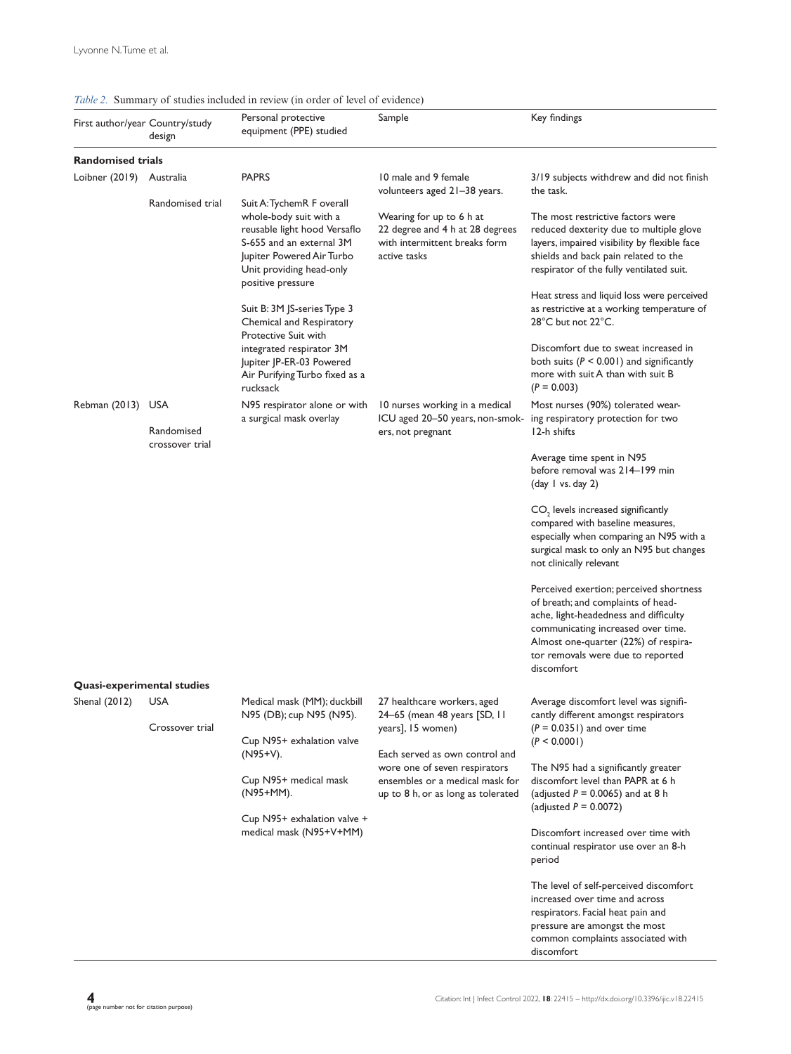| Table 2. Summary of studies included in review (in order of level of evidence) |                                           |                                                                                                                                                                                                  |                                                                                                                                                                                                                              |                                                                                                                                                                                                                                                         |
|--------------------------------------------------------------------------------|-------------------------------------------|--------------------------------------------------------------------------------------------------------------------------------------------------------------------------------------------------|------------------------------------------------------------------------------------------------------------------------------------------------------------------------------------------------------------------------------|---------------------------------------------------------------------------------------------------------------------------------------------------------------------------------------------------------------------------------------------------------|
|                                                                                | First author/year Country/study<br>design | Personal protective<br>equipment (PPE) studied                                                                                                                                                   | Sample                                                                                                                                                                                                                       | Key findings                                                                                                                                                                                                                                            |
| <b>Randomised trials</b>                                                       |                                           |                                                                                                                                                                                                  |                                                                                                                                                                                                                              |                                                                                                                                                                                                                                                         |
| Loibner (2019)                                                                 | Australia                                 | <b>PAPRS</b>                                                                                                                                                                                     | 10 male and 9 female<br>volunteers aged 21-38 years.                                                                                                                                                                         | 3/19 subjects withdrew and did not finish<br>the task.                                                                                                                                                                                                  |
|                                                                                | Randomised trial                          | Suit A: TychemR F overall<br>whole-body suit with a<br>reusable light hood Versaflo<br>S-655 and an external 3M<br>Jupiter Powered Air Turbo<br>Unit providing head-only<br>positive pressure    | Wearing for up to 6 h at<br>22 degree and 4 h at 28 degrees<br>with intermittent breaks form<br>active tasks                                                                                                                 | The most restrictive factors were<br>reduced dexterity due to multiple glove<br>layers, impaired visibility by flexible face<br>shields and back pain related to the<br>respirator of the fully ventilated suit.                                        |
|                                                                                |                                           | Suit B: 3M JS-series Type 3<br>Chemical and Respiratory<br>Protective Suit with                                                                                                                  |                                                                                                                                                                                                                              | Heat stress and liquid loss were perceived<br>as restrictive at a working temperature of<br>28°C but not 22°C.                                                                                                                                          |
|                                                                                |                                           | integrated respirator 3M<br>Jupiter JP-ER-03 Powered<br>Air Purifying Turbo fixed as a<br>rucksack                                                                                               |                                                                                                                                                                                                                              | Discomfort due to sweat increased in<br>both suits ( $P < 0.001$ ) and significantly<br>more with suit A than with suit B<br>$(P = 0.003)$                                                                                                              |
| Rebman (2013) USA                                                              | Randomised                                | N95 respirator alone or with<br>a surgical mask overlay                                                                                                                                          | 10 nurses working in a medical<br>ICU aged 20-50 years, non-smok-<br>ers, not pregnant                                                                                                                                       | Most nurses (90%) tolerated wear-<br>ing respiratory protection for two<br>12-h shifts                                                                                                                                                                  |
|                                                                                | crossover trial                           |                                                                                                                                                                                                  |                                                                                                                                                                                                                              | Average time spent in N95<br>before removal was 214-199 min<br>$\frac{day \mid \text{vs. day 2}}{y}$                                                                                                                                                    |
|                                                                                |                                           |                                                                                                                                                                                                  |                                                                                                                                                                                                                              | $CO2$ levels increased significantly<br>compared with baseline measures,<br>especially when comparing an N95 with a<br>surgical mask to only an N95 but changes<br>not clinically relevant                                                              |
|                                                                                |                                           |                                                                                                                                                                                                  |                                                                                                                                                                                                                              | Perceived exertion; perceived shortness<br>of breath; and complaints of head-<br>ache, light-headedness and difficulty<br>communicating increased over time.<br>Almost one-quarter (22%) of respira-<br>tor removals were due to reported<br>discomfort |
|                                                                                | <b>Quasi-experimental studies</b>         |                                                                                                                                                                                                  |                                                                                                                                                                                                                              |                                                                                                                                                                                                                                                         |
| Shenal (2012)                                                                  | <b>USA</b><br>Crossover trial             | Medical mask (MM); duckbill<br>N95 (DB); cup N95 (N95).<br>Cup N95+ exhalation valve<br>(N95+V).<br>Cup N95+ medical mask<br>(N95+MM).<br>Cup N95+ exhalation valve +<br>medical mask (N95+V+MM) | 27 healthcare workers, aged<br>24–65 (mean 48 years [SD, II<br>years], 15 women)<br>Each served as own control and<br>wore one of seven respirators<br>ensembles or a medical mask for<br>up to 8 h, or as long as tolerated | Average discomfort level was signifi-<br>cantly different amongst respirators<br>$(P = 0.0351)$ and over time<br>(P < 0.0001)                                                                                                                           |
|                                                                                |                                           |                                                                                                                                                                                                  |                                                                                                                                                                                                                              |                                                                                                                                                                                                                                                         |
|                                                                                |                                           |                                                                                                                                                                                                  |                                                                                                                                                                                                                              | The N95 had a significantly greater<br>discomfort level than PAPR at 6 h<br>(adjusted $P = 0.0065$ ) and at 8 h<br>(adjusted $P = 0.0072$ )                                                                                                             |
|                                                                                |                                           |                                                                                                                                                                                                  |                                                                                                                                                                                                                              | Discomfort increased over time with<br>continual respirator use over an 8-h<br>period                                                                                                                                                                   |
|                                                                                |                                           |                                                                                                                                                                                                  |                                                                                                                                                                                                                              | The level of self-perceived discomfort<br>increased over time and across<br>respirators. Facial heat pain and<br>pressure are amongst the most<br>common complaints associated with<br>discomfort                                                       |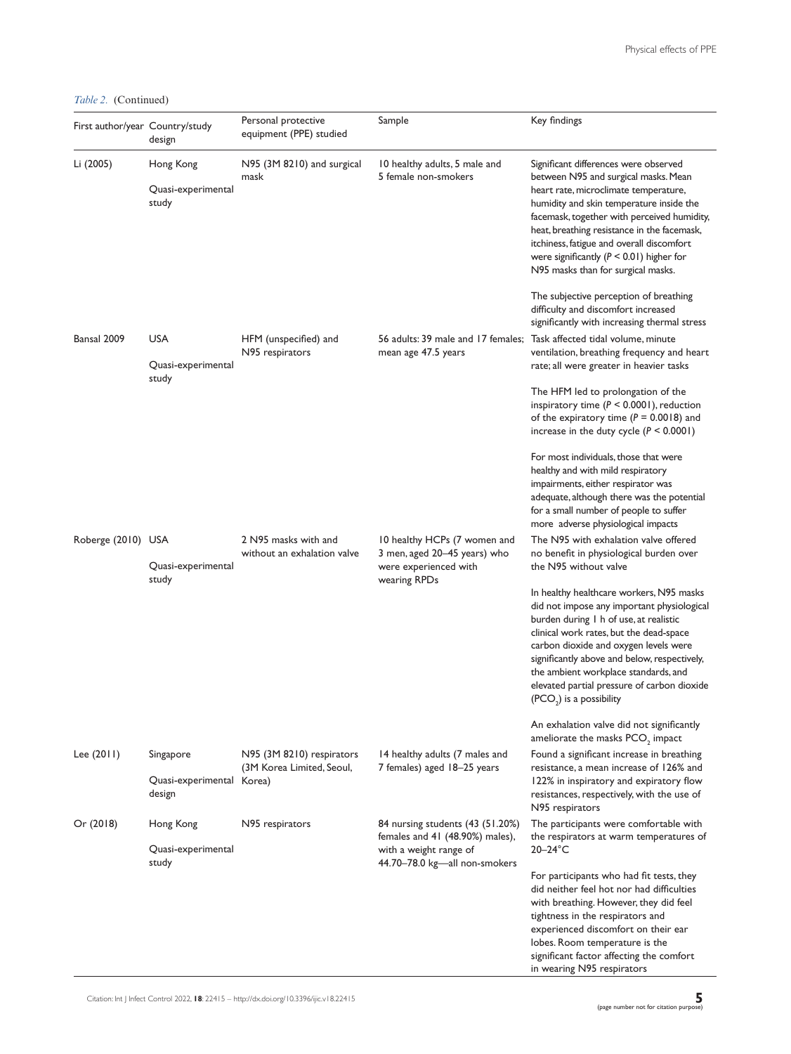*Table 2.* (Continued)

| First author/year Country/study | design                                           | Personal protective<br>equipment (PPE) studied         | Sample                                                                                                                         | Key findings                                                                                                                                                                                                                                                                                                                                                                                        |
|---------------------------------|--------------------------------------------------|--------------------------------------------------------|--------------------------------------------------------------------------------------------------------------------------------|-----------------------------------------------------------------------------------------------------------------------------------------------------------------------------------------------------------------------------------------------------------------------------------------------------------------------------------------------------------------------------------------------------|
| Li (2005)                       | Hong Kong<br>Quasi-experimental<br>study         | N95 (3M 8210) and surgical<br>mask                     | 10 healthy adults, 5 male and<br>5 female non-smokers                                                                          | Significant differences were observed<br>between N95 and surgical masks. Mean<br>heart rate, microclimate temperature,<br>humidity and skin temperature inside the<br>facemask, together with perceived humidity,<br>heat, breathing resistance in the facemask,<br>itchiness, fatigue and overall discomfort<br>were significantly ( $P < 0.01$ ) higher for<br>N95 masks than for surgical masks. |
|                                 |                                                  |                                                        |                                                                                                                                | The subjective perception of breathing<br>difficulty and discomfort increased<br>significantly with increasing thermal stress                                                                                                                                                                                                                                                                       |
| Bansal 2009                     | <b>USA</b><br>Quasi-experimental                 | HFM (unspecified) and<br>N95 respirators               | mean age 47.5 years                                                                                                            | 56 adults: 39 male and 17 females; Task affected tidal volume, minute<br>ventilation, breathing frequency and heart<br>rate; all were greater in heavier tasks                                                                                                                                                                                                                                      |
|                                 | study                                            |                                                        |                                                                                                                                | The HFM led to prolongation of the<br>inspiratory time ( $P < 0.0001$ ), reduction<br>of the expiratory time ( $P = 0.0018$ ) and<br>increase in the duty cycle $(P < 0.0001)$                                                                                                                                                                                                                      |
|                                 |                                                  |                                                        |                                                                                                                                | For most individuals, those that were<br>healthy and with mild respiratory<br>impairments, either respirator was<br>adequate, although there was the potential<br>for a small number of people to suffer<br>more adverse physiological impacts                                                                                                                                                      |
| Roberge (2010) USA              | Quasi-experimental<br>study                      | 2 N95 masks with and<br>without an exhalation valve    | 10 healthy HCPs (7 women and<br>3 men, aged 20-45 years) who<br>were experienced with<br>wearing RPDs                          | The N95 with exhalation valve offered<br>no benefit in physiological burden over<br>the N95 without valve                                                                                                                                                                                                                                                                                           |
|                                 |                                                  |                                                        |                                                                                                                                | In healthy healthcare workers, N95 masks<br>did not impose any important physiological<br>burden during I h of use, at realistic<br>clinical work rates, but the dead-space<br>carbon dioxide and oxygen levels were<br>significantly above and below, respectively,<br>the ambient workplace standards, and<br>elevated partial pressure of carbon dioxide<br>(PCO <sub>2</sub> ) is a possibility |
|                                 |                                                  |                                                        |                                                                                                                                | An exhalation valve did not significantly<br>ameliorate the masks PCO <sub>2</sub> impact                                                                                                                                                                                                                                                                                                           |
| Lee $(2011)$                    | Singapore<br>Quasi-experimental Korea)<br>design | N95 (3M 8210) respirators<br>(3M Korea Limited, Seoul, | 14 healthy adults (7 males and<br>7 females) aged 18–25 years                                                                  | Found a significant increase in breathing<br>resistance, a mean increase of 126% and<br>122% in inspiratory and expiratory flow<br>resistances, respectively, with the use of<br>N95 respirators                                                                                                                                                                                                    |
| Or (2018)                       | Hong Kong<br>Quasi-experimental<br>study         | N95 respirators                                        | 84 nursing students (43 (51.20%)<br>females and 41 (48.90%) males),<br>with a weight range of<br>44.70-78.0 kg-all non-smokers | The participants were comfortable with<br>the respirators at warm temperatures of<br>$20-24$ °C                                                                                                                                                                                                                                                                                                     |
|                                 |                                                  |                                                        |                                                                                                                                | For participants who had fit tests, they<br>did neither feel hot nor had difficulties<br>with breathing. However, they did feel<br>tightness in the respirators and<br>experienced discomfort on their ear<br>lobes. Room temperature is the<br>significant factor affecting the comfort<br>in wearing N95 respirators                                                                              |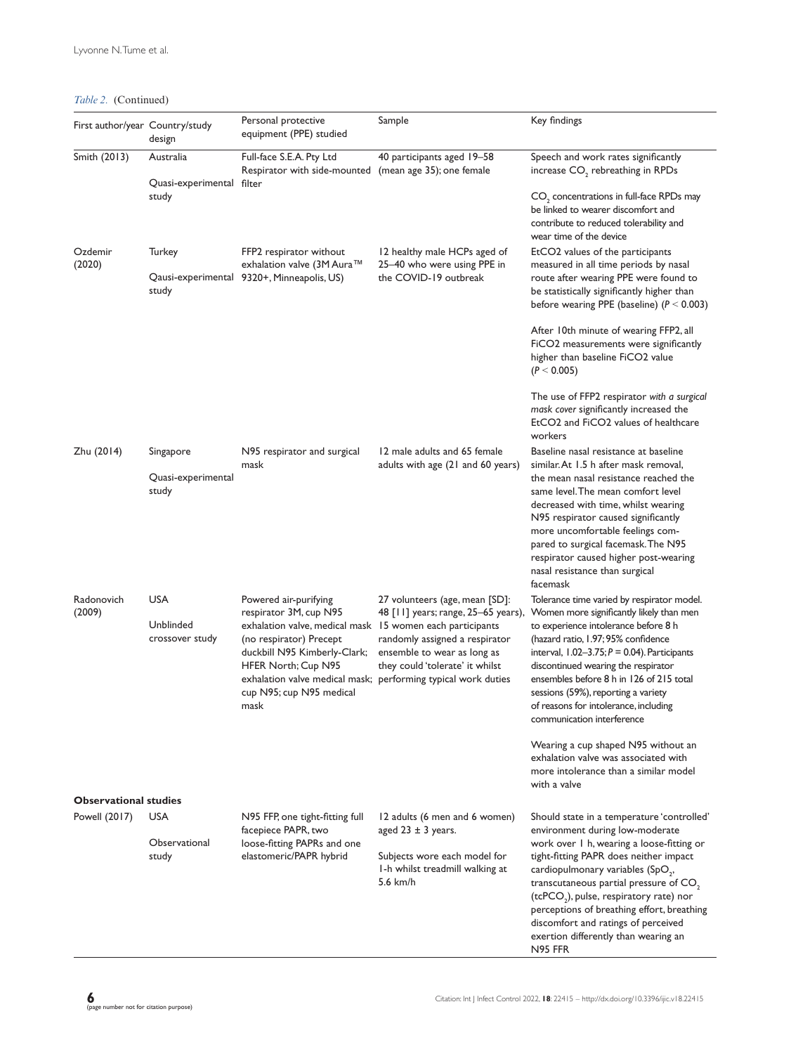*Table 2.* (Continued)

| First author/year Country/study               | design                                   | Personal protective<br>equipment (PPE) studied                                                                                                                                                                                     | Sample                                                                                                                                                                                                                                     | Key findings                                                                                                                                                                                                                                                                                                                                                                                                                                                                                                                                      |
|-----------------------------------------------|------------------------------------------|------------------------------------------------------------------------------------------------------------------------------------------------------------------------------------------------------------------------------------|--------------------------------------------------------------------------------------------------------------------------------------------------------------------------------------------------------------------------------------------|---------------------------------------------------------------------------------------------------------------------------------------------------------------------------------------------------------------------------------------------------------------------------------------------------------------------------------------------------------------------------------------------------------------------------------------------------------------------------------------------------------------------------------------------------|
| Smith (2013)                                  | Australia<br>Quasi-experimental filter   | Full-face S.E.A. Pty Ltd<br>Respirator with side-mounted (mean age 35); one female                                                                                                                                                 | 40 participants aged 19-58                                                                                                                                                                                                                 | Speech and work rates significantly<br>increase CO <sub>2</sub> rebreathing in RPDs                                                                                                                                                                                                                                                                                                                                                                                                                                                               |
|                                               | study                                    |                                                                                                                                                                                                                                    |                                                                                                                                                                                                                                            | CO <sub>2</sub> concentrations in full-face RPDs may<br>be linked to wearer discomfort and<br>contribute to reduced tolerability and<br>wear time of the device                                                                                                                                                                                                                                                                                                                                                                                   |
| Ozdemir<br>(2020)                             | Turkey<br>study                          | FFP2 respirator without<br>exhalation valve (3M Aura™<br>Qausi-experimental 9320+, Minneapolis, US)                                                                                                                                | 12 healthy male HCPs aged of<br>25-40 who were using PPE in<br>the COVID-19 outbreak                                                                                                                                                       | EtCO2 values of the participants<br>measured in all time periods by nasal<br>route after wearing PPE were found to<br>be statistically significantly higher than                                                                                                                                                                                                                                                                                                                                                                                  |
|                                               |                                          |                                                                                                                                                                                                                                    |                                                                                                                                                                                                                                            | before wearing PPE (baseline) $(P < 0.003)$<br>After 10th minute of wearing FFP2, all<br>FICO2 measurements were significantly<br>higher than baseline FiCO2 value<br>(P < 0.005)                                                                                                                                                                                                                                                                                                                                                                 |
|                                               |                                          |                                                                                                                                                                                                                                    |                                                                                                                                                                                                                                            | The use of FFP2 respirator with a surgical<br>mask cover significantly increased the<br>EtCO2 and FiCO2 values of healthcare<br>workers                                                                                                                                                                                                                                                                                                                                                                                                           |
| Zhu (2014)                                    | Singapore<br>Quasi-experimental<br>study | N95 respirator and surgical<br>mask                                                                                                                                                                                                | 12 male adults and 65 female<br>adults with age (21 and 60 years)                                                                                                                                                                          | Baseline nasal resistance at baseline<br>similar. At 1.5 h after mask removal,<br>the mean nasal resistance reached the<br>same level. The mean comfort level<br>decreased with time, whilst wearing<br>N95 respirator caused significantly<br>more uncomfortable feelings com-<br>pared to surgical facemask. The N95<br>respirator caused higher post-wearing<br>nasal resistance than surgical<br>facemask                                                                                                                                     |
| Radonovich<br>(2009)                          | USA<br>Unblinded<br>crossover study      | Powered air-purifying<br>respirator 3M, cup N95<br>exhalation valve, medical mask 15 women each participants<br>(no respirator) Precept<br>duckbill N95 Kimberly-Clark;<br>HFER North; Cup N95<br>cup N95; cup N95 medical<br>mask | 27 volunteers (age, mean [SD]:<br>48 [11] years; range, 25–65 years),<br>randomly assigned a respirator<br>ensemble to wear as long as<br>they could 'tolerate' it whilst<br>exhalation valve medical mask; performing typical work duties | Tolerance time varied by respirator model.<br>Women more significantly likely than men<br>to experience intolerance before 8 h<br>(hazard ratio, 1.97; 95% confidence<br>interval, $1.02-3.75; P = 0.04$ ). Participants<br>discontinued wearing the respirator<br>ensembles before 8 h in 126 of 215 total<br>sessions (59%), reporting a variety<br>of reasons for intolerance, including<br>communication interference<br>Wearing a cup shaped N95 without an<br>exhalation valve was associated with<br>more intolerance than a similar model |
| <b>Observational studies</b><br>Powell (2017) | <b>USA</b>                               | N95 FFP, one tight-fitting full                                                                                                                                                                                                    | 12 adults (6 men and 6 women)                                                                                                                                                                                                              | with a valve<br>Should state in a temperature 'controlled'                                                                                                                                                                                                                                                                                                                                                                                                                                                                                        |
|                                               | Observational<br>study                   | facepiece PAPR, two<br>loose-fitting PAPRs and one<br>elastomeric/PAPR hybrid                                                                                                                                                      | aged $23 \pm 3$ years.<br>Subjects wore each model for<br>I-h whilst treadmill walking at<br>5.6 km/h                                                                                                                                      | environment during low-moderate<br>work over 1 h, wearing a loose-fitting or<br>tight-fitting PAPR does neither impact<br>cardiopulmonary variables (SpO <sub>2</sub> ,<br>transcutaneous partial pressure of $CO2$<br>(tcPCO <sub>2</sub> ), pulse, respiratory rate) nor<br>perceptions of breathing effort, breathing<br>discomfort and ratings of perceived<br>exertion differently than wearing an<br>N95 FFR                                                                                                                                |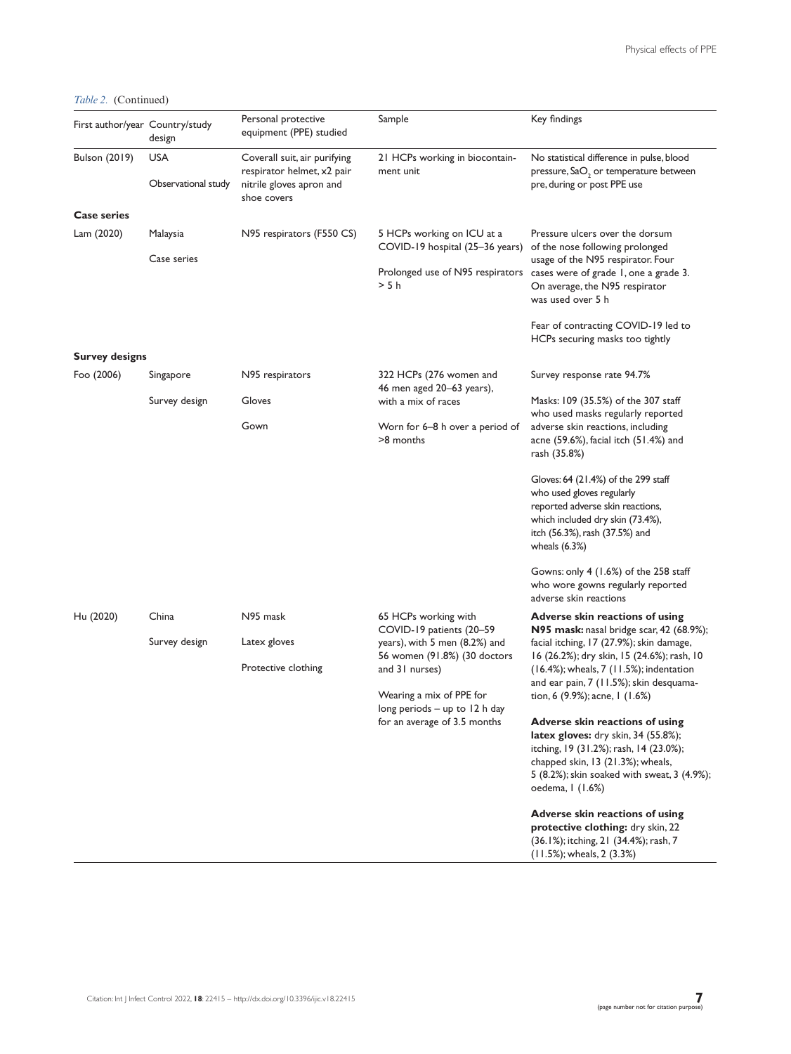*Table 2.* (Continued)

| First author/year Country/study | design                            | Personal protective<br>equipment (PPE) studied                                                        | Sample                                                                                                            | Key findings                                                                                                                                                                                                                                                                                         |
|---------------------------------|-----------------------------------|-------------------------------------------------------------------------------------------------------|-------------------------------------------------------------------------------------------------------------------|------------------------------------------------------------------------------------------------------------------------------------------------------------------------------------------------------------------------------------------------------------------------------------------------------|
| Bulson (2019)                   | <b>USA</b><br>Observational study | Coverall suit, air purifying<br>respirator helmet, x2 pair<br>nitrile gloves apron and<br>shoe covers | 21 HCPs working in biocontain-<br>ment unit                                                                       | No statistical difference in pulse, blood<br>pressure, SaO <sub>2</sub> or temperature between<br>pre, during or post PPE use                                                                                                                                                                        |
| <b>Case series</b>              |                                   |                                                                                                       |                                                                                                                   |                                                                                                                                                                                                                                                                                                      |
| Lam (2020)                      | Malaysia                          | N95 respirators (F550 CS)                                                                             | 5 HCPs working on ICU at a<br>COVID-19 hospital (25-36 years)                                                     | Pressure ulcers over the dorsum<br>of the nose following prolonged                                                                                                                                                                                                                                   |
|                                 | Case series                       |                                                                                                       | > 5 h                                                                                                             | usage of the N95 respirator. Four<br>Prolonged use of N95 respirators cases were of grade 1, one a grade 3.<br>On average, the N95 respirator<br>was used over 5 h                                                                                                                                   |
|                                 |                                   |                                                                                                       |                                                                                                                   | Fear of contracting COVID-19 led to<br>HCPs securing masks too tightly                                                                                                                                                                                                                               |
| <b>Survey designs</b>           |                                   |                                                                                                       |                                                                                                                   |                                                                                                                                                                                                                                                                                                      |
| Foo (2006)                      | Singapore                         | N95 respirators                                                                                       | 322 HCPs (276 women and<br>46 men aged 20-63 years),                                                              | Survey response rate 94.7%                                                                                                                                                                                                                                                                           |
|                                 | Survey design                     | Gloves                                                                                                | with a mix of races                                                                                               | Masks: 109 (35.5%) of the 307 staff<br>who used masks regularly reported                                                                                                                                                                                                                             |
|                                 |                                   | Gown                                                                                                  | Worn for 6–8 h over a period of<br>>8 months                                                                      | adverse skin reactions, including<br>acne $(59.6\%)$ , facial itch $(51.4\%)$ and<br>rash (35.8%)                                                                                                                                                                                                    |
|                                 |                                   |                                                                                                       |                                                                                                                   | Gloves: 64 (21.4%) of the 299 staff<br>who used gloves regularly<br>reported adverse skin reactions,<br>which included dry skin (73.4%),<br>itch (56.3%), rash (37.5%) and<br>wheals $(6.3%)$                                                                                                        |
|                                 |                                   |                                                                                                       |                                                                                                                   | Gowns: only $4(1.6%)$ of the 258 staff<br>who wore gowns regularly reported<br>adverse skin reactions                                                                                                                                                                                                |
| Hu (2020)                       | China                             | N95 mask                                                                                              | 65 HCPs working with<br>COVID-19 patients (20-59<br>years), with 5 men (8.2%) and<br>56 women (91.8%) (30 doctors | Adverse skin reactions of using<br><b>N95 mask:</b> nasal bridge scar, 42 (68.9%);<br>facial itching, 17 (27.9%); skin damage,<br>16 (26.2%); dry skin, 15 (24.6%); rash, 10<br>(16.4%); wheals, 7 (11.5%); indentation<br>and ear pain, 7 (11.5%); skin desquama-<br>tion, 6 (9.9%); acne, 1 (1.6%) |
|                                 | Survey design                     | Latex gloves                                                                                          |                                                                                                                   |                                                                                                                                                                                                                                                                                                      |
|                                 |                                   | Protective clothing                                                                                   | and 31 nurses)<br>Wearing a mix of PPE for<br>long periods - up to 12 h day<br>for an average of 3.5 months       |                                                                                                                                                                                                                                                                                                      |
|                                 |                                   |                                                                                                       |                                                                                                                   |                                                                                                                                                                                                                                                                                                      |
|                                 |                                   |                                                                                                       |                                                                                                                   | Adverse skin reactions of using<br>latex gloves: dry skin, 34 (55.8%);<br>itching, 19 (31.2%); rash, 14 (23.0%);<br>chapped skin, 13 (21.3%); wheals,<br>5 (8.2%); skin soaked with sweat, 3 (4.9%);<br>oedema, I (1.6%)                                                                             |
|                                 |                                   |                                                                                                       |                                                                                                                   | Adverse skin reactions of using<br>protective clothing: dry skin, 22<br>(36.1%); itching, 21 (34.4%); rash, 7<br>(11.5%); wheals, 2 (3.3%)                                                                                                                                                           |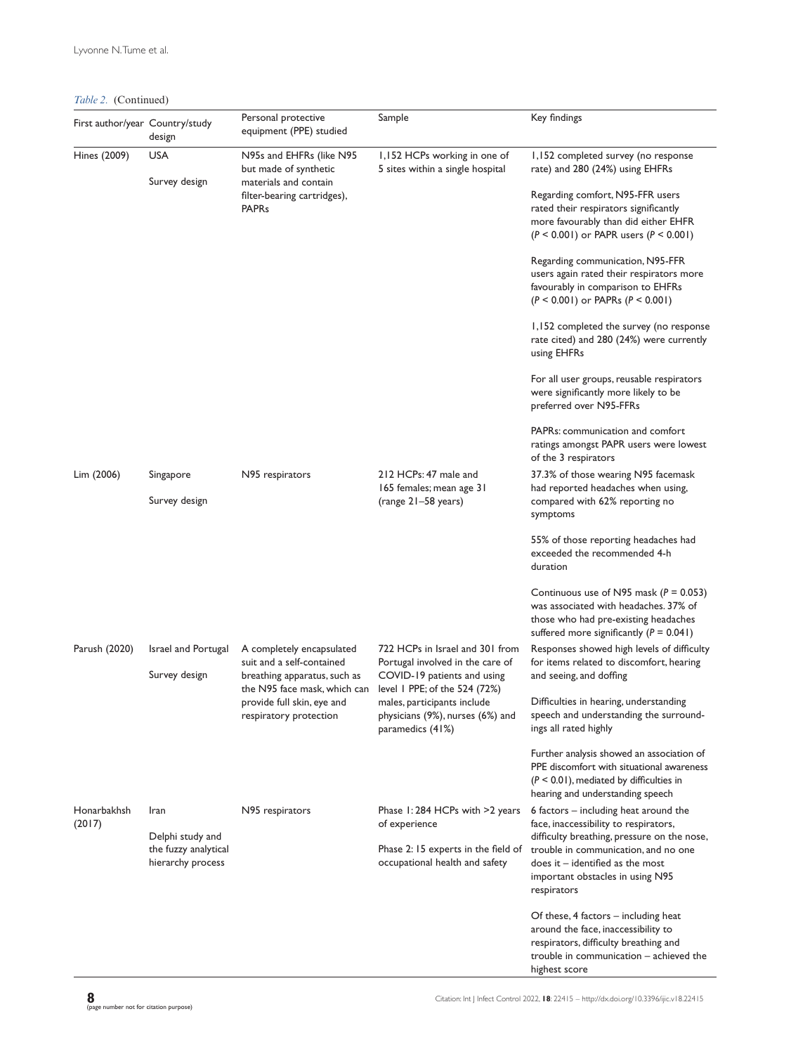*Table 2.* (Continued)

| First author/year Country/study | design                                                                | Personal protective<br>equipment (PPE) studied                                                                            | Sample                                                                                                                                                                                                                     | Key findings                                                                                                                                                                                                                                                                                                                                                                                                                                                                                                |
|---------------------------------|-----------------------------------------------------------------------|---------------------------------------------------------------------------------------------------------------------------|----------------------------------------------------------------------------------------------------------------------------------------------------------------------------------------------------------------------------|-------------------------------------------------------------------------------------------------------------------------------------------------------------------------------------------------------------------------------------------------------------------------------------------------------------------------------------------------------------------------------------------------------------------------------------------------------------------------------------------------------------|
| Hines (2009)                    | <b>USA</b><br>Survey design                                           | N95s and EHFRs (like N95<br>but made of synthetic<br>materials and contain<br>filter-bearing cartridges),<br><b>PAPRs</b> | 1,152 HCPs working in one of<br>5 sites within a single hospital                                                                                                                                                           | 1,152 completed survey (no response<br>rate) and 280 (24%) using EHFRs<br>Regarding comfort, N95-FFR users<br>rated their respirators significantly<br>more favourably than did either EHFR<br>$(P < 0.001)$ or PAPR users $(P < 0.001)$<br>Regarding communication, N95-FFR<br>users again rated their respirators more<br>favourably in comparison to EHFRs<br>$(P < 0.001)$ or PAPRs $(P < 0.001)$<br>1,152 completed the survey (no response<br>rate cited) and 280 (24%) were currently<br>using EHFRs |
|                                 |                                                                       |                                                                                                                           |                                                                                                                                                                                                                            | For all user groups, reusable respirators<br>were significantly more likely to be<br>preferred over N95-FFRs<br>PAPRs: communication and comfort<br>ratings amongst PAPR users were lowest                                                                                                                                                                                                                                                                                                                  |
| Lim (2006)                      | Singapore<br>Survey design                                            | N95 respirators                                                                                                           | 212 HCPs: 47 male and<br>165 females; mean age 31<br>(range 21–58 years)                                                                                                                                                   | of the 3 respirators<br>37.3% of those wearing N95 facemask<br>had reported headaches when using,<br>compared with 62% reporting no<br>symptoms                                                                                                                                                                                                                                                                                                                                                             |
|                                 |                                                                       |                                                                                                                           |                                                                                                                                                                                                                            | 55% of those reporting headaches had<br>exceeded the recommended 4-h<br>duration                                                                                                                                                                                                                                                                                                                                                                                                                            |
|                                 |                                                                       |                                                                                                                           |                                                                                                                                                                                                                            | Continuous use of N95 mask ( $P = 0.053$ )<br>was associated with headaches. 37% of<br>those who had pre-existing headaches<br>suffered more significantly ( $P = 0.041$ )                                                                                                                                                                                                                                                                                                                                  |
| Parush (2020)                   | Israel and Portugal<br>Survey design                                  | A completely encapsulated<br>suit and a self-contained<br>breathing apparatus, such as<br>the N95 face mask, which can    | 722 HCPs in Israel and 301 from<br>Portugal involved in the care of<br>COVID-19 patients and using<br>level 1 PPE; of the 524 (72%)<br>males, participants include<br>physicians (9%), nurses (6%) and<br>paramedics (41%) | Responses showed high levels of difficulty<br>for items related to discomfort, hearing<br>and seeing, and doffing                                                                                                                                                                                                                                                                                                                                                                                           |
|                                 |                                                                       | provide full skin, eye and<br>respiratory protection                                                                      |                                                                                                                                                                                                                            | Difficulties in hearing, understanding<br>speech and understanding the surround-<br>ings all rated highly                                                                                                                                                                                                                                                                                                                                                                                                   |
|                                 |                                                                       |                                                                                                                           |                                                                                                                                                                                                                            | Further analysis showed an association of<br>PPE discomfort with situational awareness<br>$(P < 0.01)$ , mediated by difficulties in<br>hearing and understanding speech                                                                                                                                                                                                                                                                                                                                    |
| Honarbakhsh<br>(2017)           | Iran<br>Delphi study and<br>the fuzzy analytical<br>hierarchy process | N95 respirators                                                                                                           | Phase 1:284 HCPs with >2 years<br>of experience<br>Phase 2: 15 experts in the field of<br>occupational health and safety                                                                                                   | 6 factors – including heat around the<br>face, inaccessibility to respirators,<br>difficulty breathing, pressure on the nose,<br>trouble in communication, and no one<br>$does it - identified as the most$<br>important obstacles in using N95<br>respirators                                                                                                                                                                                                                                              |
|                                 |                                                                       |                                                                                                                           |                                                                                                                                                                                                                            | Of these, 4 factors $-$ including heat<br>around the face, inaccessibility to<br>respirators, difficulty breathing and<br>trouble in communication - achieved the<br>highest score                                                                                                                                                                                                                                                                                                                          |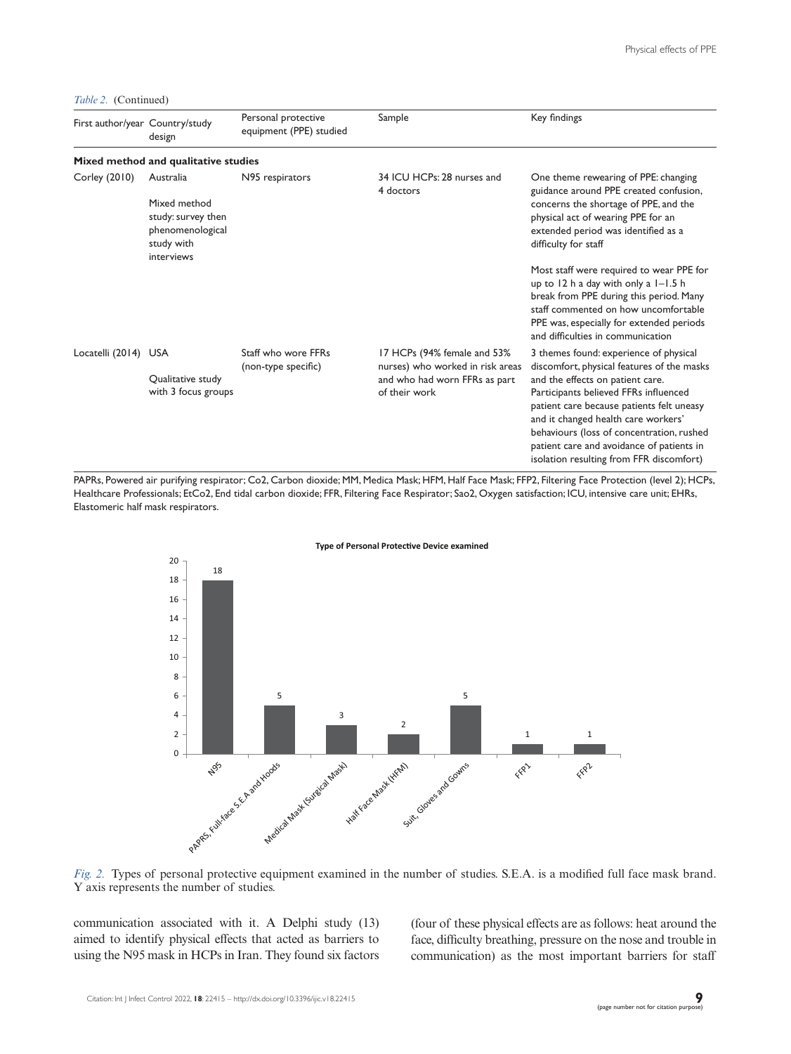*Table 2.* (Continued)

| First author/year Country/study | design                                                                                          | Personal protective<br>equipment (PPE) studied | Sample                                                                                                            | Key findings                                                                                                                                                                                                                                                                                                                                                                                |
|---------------------------------|-------------------------------------------------------------------------------------------------|------------------------------------------------|-------------------------------------------------------------------------------------------------------------------|---------------------------------------------------------------------------------------------------------------------------------------------------------------------------------------------------------------------------------------------------------------------------------------------------------------------------------------------------------------------------------------------|
|                                 | Mixed method and qualitative studies                                                            |                                                |                                                                                                                   |                                                                                                                                                                                                                                                                                                                                                                                             |
| Corley (2010)                   | Australia<br>Mixed method<br>study: survey then<br>phenomenological<br>study with<br>interviews | N95 respirators                                | 34 ICU HCPs: 28 nurses and<br>4 doctors                                                                           | One theme rewearing of PPE: changing<br>guidance around PPE created confusion,<br>concerns the shortage of PPE, and the<br>physical act of wearing PPE for an<br>extended period was identified as a<br>difficulty for staff                                                                                                                                                                |
|                                 |                                                                                                 |                                                |                                                                                                                   | Most staff were required to wear PPE for<br>up to $12$ h a day with only a $1 - 1.5$ h<br>break from PPE during this period. Many<br>staff commented on how uncomfortable<br>PPE was, especially for extended periods<br>and difficulties in communication                                                                                                                                  |
| Locatelli (2014) USA            | Qualitative study<br>with 3 focus groups                                                        | Staff who wore FFRs<br>(non-type specific)     | 17 HCPs (94% female and 53%<br>nurses) who worked in risk areas<br>and who had worn FFRs as part<br>of their work | 3 themes found: experience of physical<br>discomfort, physical features of the masks<br>and the effects on patient care.<br>Participants believed FFRs influenced<br>patient care because patients felt uneasy<br>and it changed health care workers'<br>behaviours (loss of concentration, rushed<br>patient care and avoidance of patients in<br>isolation resulting from FFR discomfort) |

PAPRs, Powered air purifying respirator; Co2, Carbon dioxide; MM, Medica Mask; HFM, Half Face Mask; FFP2, Filtering Face Protection (level 2); HCPs, Healthcare Professionals; EtCo2, End tidal carbon dioxide; FFR, Filtering Face Respirator; Sao2, Oxygen satisfaction; ICU, intensive care unit; EHRs, Elastomeric half mask respirators.





*Fig. 2.* Types of personal protective equipment examined in the number of studies. S.E.A. is a modified full face mask brand. Y axis represents the number of studies.

communication associated with it. A Delphi study (13) aimed to identify physical effects that acted as barriers to using the N95 mask in HCPs in Iran. They found six factors (four of these physical effects are as follows: heat around the face, difficulty breathing, pressure on the nose and trouble in communication) as the most important barriers for staff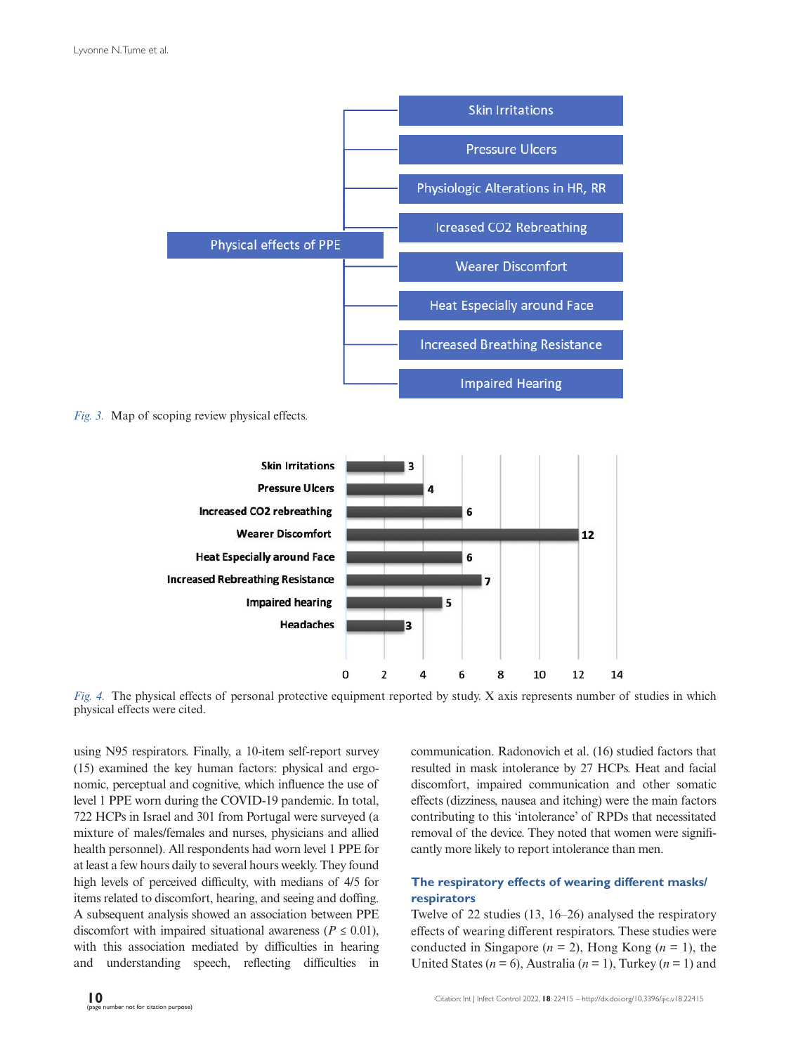

*Fig. 3.* Map of scoping review physical effects.



*Fig. 4.* The physical effects of personal protective equipment reported by study. X axis represents number of studies in which physical effects were cited.

using N95 respirators. Finally, a 10-item self-report survey (15) examined the key human factors: physical and ergonomic, perceptual and cognitive, which influence the use of level 1 PPE worn during the COVID-19 pandemic. In total, 722 HCPs in Israel and 301 from Portugal were surveyed (a mixture of males/females and nurses, physicians and allied health personnel). All respondents had worn level 1 PPE for at least a few hours daily to several hours weekly. They found high levels of perceived difficulty, with medians of 4/5 for items related to discomfort, hearing, and seeing and doffing. A subsequent analysis showed an association between PPE discomfort with impaired situational awareness ( $P \leq 0.01$ ), with this association mediated by difficulties in hearing and understanding speech, reflecting difficulties in

communication. Radonovich et al. (16) studied factors that resulted in mask intolerance by 27 HCPs. Heat and facial discomfort, impaired communication and other somatic effects (dizziness, nausea and itching) were the main factors contributing to this 'intolerance' of RPDs that necessitated removal of the device. They noted that women were significantly more likely to report intolerance than men.

## **The respiratory effects of wearing different masks/ respirators**

Twelve of 22 studies (13, 16–26) analysed the respiratory effects of wearing different respirators. These studies were conducted in Singapore ( $n = 2$ ), Hong Kong ( $n = 1$ ), the United States ( $n = 6$ ), Australia ( $n = 1$ ), Turkey ( $n = 1$ ) and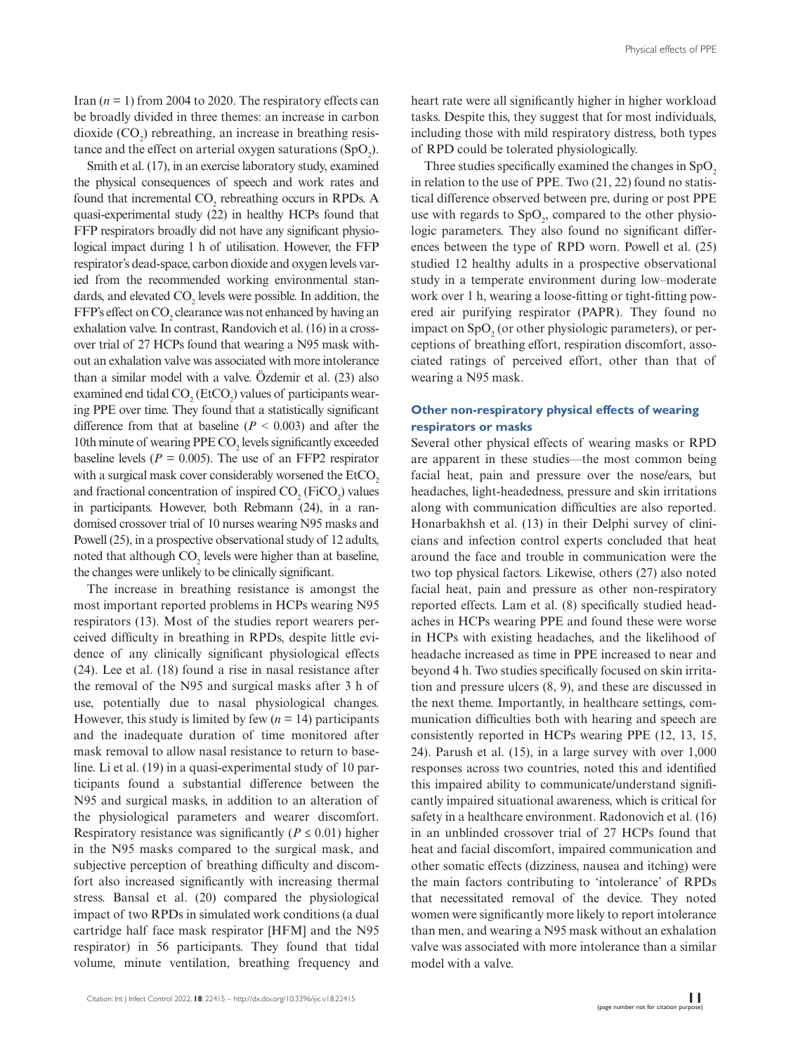Iran  $(n = 1)$  from 2004 to 2020. The respiratory effects can be broadly divided in three themes: an increase in carbon dioxide  $(CO_2)$  rebreathing, an increase in breathing resistance and the effect on arterial oxygen saturations  $(SpO<sub>2</sub>)$ .

Smith et al. (17), in an exercise laboratory study, examined the physical consequences of speech and work rates and found that incremental  $CO_2$  rebreathing occurs in RPDs. A quasi-experimental study (22) in healthy HCPs found that FFP respirators broadly did not have any significant physiological impact during 1 h of utilisation. However, the FFP respirator's dead-space, carbon dioxide and oxygen levels varied from the recommended working environmental standards, and elevated  $CO_2$  levels were possible. In addition, the FFP's effect on  $CO_2$  clearance was not enhanced by having an exhalation valve. In contrast, Randovich et al. (16) in a crossover trial of 27 HCPs found that wearing a N95 mask without an exhalation valve was associated with more intolerance than a similar model with a valve. Özdemir et al. (23) also examined end tidal  $\text{CO}_2(\text{EtCO}_2)$  values of participants wearing PPE over time. They found that a statistically significant difference from that at baseline  $(P < 0.003)$  and after the 10th minute of wearing  $PPE CO<sub>2</sub>$  levels significantly exceeded baseline levels ( $P = 0.005$ ). The use of an FFP2 respirator with a surgical mask cover considerably worsened the EtCO<sub>2</sub> and fractional concentration of inspired  $CO_2$  (FiCO<sub>2</sub>) values in participants. However, both Rebmann (24), in a randomised crossover trial of 10 nurses wearing N95 masks and Powell (25), in a prospective observational study of 12 adults, noted that although  $CO_2$  levels were higher than at baseline, the changes were unlikely to be clinically significant.

The increase in breathing resistance is amongst the most important reported problems in HCPs wearing N95 respirators (13). Most of the studies report wearers perceived difficulty in breathing in RPDs, despite little evidence of any clinically significant physiological effects (24). Lee et al. (18) found a rise in nasal resistance after the removal of the N95 and surgical masks after 3 h of use, potentially due to nasal physiological changes. However, this study is limited by few  $(n = 14)$  participants and the inadequate duration of time monitored after mask removal to allow nasal resistance to return to baseline. Li et al. (19) in a quasi-experimental study of 10 participants found a substantial difference between the N95 and surgical masks, in addition to an alteration of the physiological parameters and wearer discomfort. Respiratory resistance was significantly ( $P \le 0.01$ ) higher in the N95 masks compared to the surgical mask, and subjective perception of breathing difficulty and discomfort also increased significantly with increasing thermal stress. Bansal et al. (20) compared the physiological impact of two RPDs in simulated work conditions (a dual cartridge half face mask respirator [HFM] and the N95 respirator) in 56 participants. They found that tidal volume, minute ventilation, breathing frequency and

heart rate were all significantly higher in higher workload tasks. Despite this, they suggest that for most individuals, including those with mild respiratory distress, both types of RPD could be tolerated physiologically.

Three studies specifically examined the changes in  $SpO<sub>2</sub>$ in relation to the use of PPE. Two (21, 22) found no statistical difference observed between pre, during or post PPE use with regards to  $SpO<sub>2</sub>$ , compared to the other physiologic parameters. They also found no significant differences between the type of RPD worn. Powell et al. (25) studied 12 healthy adults in a prospective observational study in a temperate environment during low–moderate work over 1 h, wearing a loose-fitting or tight-fitting powered air purifying respirator (PAPR). They found no impact on  $SpO<sub>2</sub>$  (or other physiologic parameters), or perceptions of breathing effort, respiration discomfort, associated ratings of perceived effort, other than that of wearing a N95 mask.

## **Other non-respiratory physical effects of wearing respirators or masks**

Several other physical effects of wearing masks or RPD are apparent in these studies—the most common being facial heat, pain and pressure over the nose/ears, but headaches, light-headedness, pressure and skin irritations along with communication difficulties are also reported. Honarbakhsh et al. (13) in their Delphi survey of clinicians and infection control experts concluded that heat around the face and trouble in communication were the two top physical factors. Likewise, others (27) also noted facial heat, pain and pressure as other non-respiratory reported effects. Lam et al. (8) specifically studied headaches in HCPs wearing PPE and found these were worse in HCPs with existing headaches, and the likelihood of headache increased as time in PPE increased to near and beyond 4 h. Two studies specifically focused on skin irritation and pressure ulcers (8, 9), and these are discussed in the next theme. Importantly, in healthcare settings, communication difficulties both with hearing and speech are consistently reported in HCPs wearing PPE (12, 13, 15, 24). Parush et al. (15), in a large survey with over 1,000 responses across two countries, noted this and identified this impaired ability to communicate/understand significantly impaired situational awareness, which is critical for safety in a healthcare environment. Radonovich et al. (16) in an unblinded crossover trial of 27 HCPs found that heat and facial discomfort, impaired communication and other somatic effects (dizziness, nausea and itching) were the main factors contributing to 'intolerance' of RPDs that necessitated removal of the device. They noted women were significantly more likely to report intolerance than men, and wearing a N95 mask without an exhalation valve was associated with more intolerance than a similar model with a valve.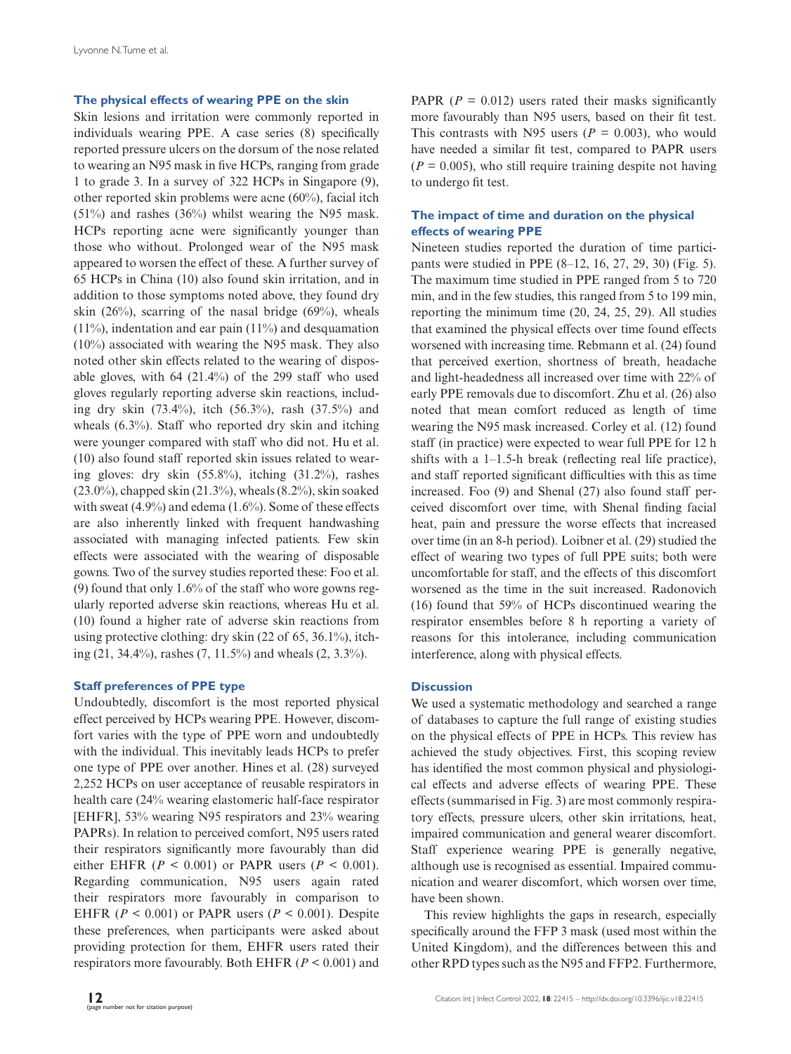#### **The physical effects of wearing PPE on the skin**

Skin lesions and irritation were commonly reported in individuals wearing PPE. A case series (8) specifically reported pressure ulcers on the dorsum of the nose related to wearing an N95 mask in five HCPs, ranging from grade 1 to grade 3. In a survey of 322 HCPs in Singapore (9), other reported skin problems were acne (60%), facial itch (51%) and rashes (36%) whilst wearing the N95 mask. HCPs reporting acne were significantly younger than those who without. Prolonged wear of the N95 mask appeared to worsen the effect of these. A further survey of 65 HCPs in China (10) also found skin irritation, and in addition to those symptoms noted above, they found dry skin  $(26%)$ , scarring of the nasal bridge  $(69%)$ , wheals (11%), indentation and ear pain (11%) and desquamation (10%) associated with wearing the N95 mask. They also noted other skin effects related to the wearing of disposable gloves, with 64 (21.4%) of the 299 staff who used gloves regularly reporting adverse skin reactions, including dry skin (73.4%), itch (56.3%), rash (37.5%) and wheals (6.3%). Staff who reported dry skin and itching were younger compared with staff who did not. Hu et al. (10) also found staff reported skin issues related to wearing gloves: dry skin (55.8%), itching (31.2%), rashes (23.0%), chapped skin (21.3%), wheals (8.2%), skin soaked with sweat (4.9%) and edema (1.6%). Some of these effects are also inherently linked with frequent handwashing associated with managing infected patients. Few skin effects were associated with the wearing of disposable gowns. Two of the survey studies reported these: Foo et al. (9) found that only 1.6% of the staff who wore gowns regularly reported adverse skin reactions, whereas Hu et al. (10) found a higher rate of adverse skin reactions from using protective clothing: dry skin (22 of 65, 36.1%), itching (21, 34.4%), rashes (7, 11.5%) and wheals (2, 3.3%).

#### **Staff preferences of PPE type**

Undoubtedly, discomfort is the most reported physical effect perceived by HCPs wearing PPE. However, discomfort varies with the type of PPE worn and undoubtedly with the individual. This inevitably leads HCPs to prefer one type of PPE over another. Hines et al. (28) surveyed 2,252 HCPs on user acceptance of reusable respirators in health care (24% wearing elastomeric half-face respirator [EHFR], 53% wearing N95 respirators and 23% wearing PAPRs). In relation to perceived comfort, N95 users rated their respirators significantly more favourably than did either EHFR ( $P < 0.001$ ) or PAPR users ( $P < 0.001$ ). Regarding communication, N95 users again rated their respirators more favourably in comparison to EHFR ( $P < 0.001$ ) or PAPR users ( $P < 0.001$ ). Despite these preferences, when participants were asked about providing protection for them, EHFR users rated their respirators more favourably. Both EHFR (*P* < 0.001) and

PAPR  $(P = 0.012)$  users rated their masks significantly more favourably than N95 users, based on their fit test. This contrasts with N95 users ( $P = 0.003$ ), who would have needed a similar fit test, compared to PAPR users  $(P = 0.005)$ , who still require training despite not having to undergo fit test.

## **The impact of time and duration on the physical effects of wearing PPE**

Nineteen studies reported the duration of time participants were studied in PPE (8–12, 16, 27, 29, 30) (Fig. 5). The maximum time studied in PPE ranged from 5 to 720 min, and in the few studies, this ranged from 5 to 199 min, reporting the minimum time (20, 24, 25, 29). All studies that examined the physical effects over time found effects worsened with increasing time. Rebmann et al. (24) found that perceived exertion, shortness of breath, headache and light-headedness all increased over time with 22% of early PPE removals due to discomfort. Zhu et al. (26) also noted that mean comfort reduced as length of time wearing the N95 mask increased. Corley et al. (12) found staff (in practice) were expected to wear full PPE for 12 h shifts with a 1–1.5-h break (reflecting real life practice), and staff reported significant difficulties with this as time increased. Foo (9) and Shenal (27) also found staff perceived discomfort over time, with Shenal finding facial heat, pain and pressure the worse effects that increased over time (in an 8-h period). Loibner et al. (29) studied the effect of wearing two types of full PPE suits; both were uncomfortable for staff, and the effects of this discomfort worsened as the time in the suit increased. Radonovich (16) found that 59% of HCPs discontinued wearing the respirator ensembles before 8 h reporting a variety of reasons for this intolerance, including communication interference, along with physical effects.

#### **Discussion**

We used a systematic methodology and searched a range of databases to capture the full range of existing studies on the physical effects of PPE in HCPs. This review has achieved the study objectives. First, this scoping review has identified the most common physical and physiological effects and adverse effects of wearing PPE. These effects (summarised in Fig. 3) are most commonly respiratory effects, pressure ulcers, other skin irritations, heat, impaired communication and general wearer discomfort. Staff experience wearing PPE is generally negative, although use is recognised as essential. Impaired communication and wearer discomfort, which worsen over time, have been shown.

This review highlights the gaps in research, especially specifically around the FFP 3 mask (used most within the United Kingdom), and the differences between this and other RPD types such as the N95 and FFP2. Furthermore,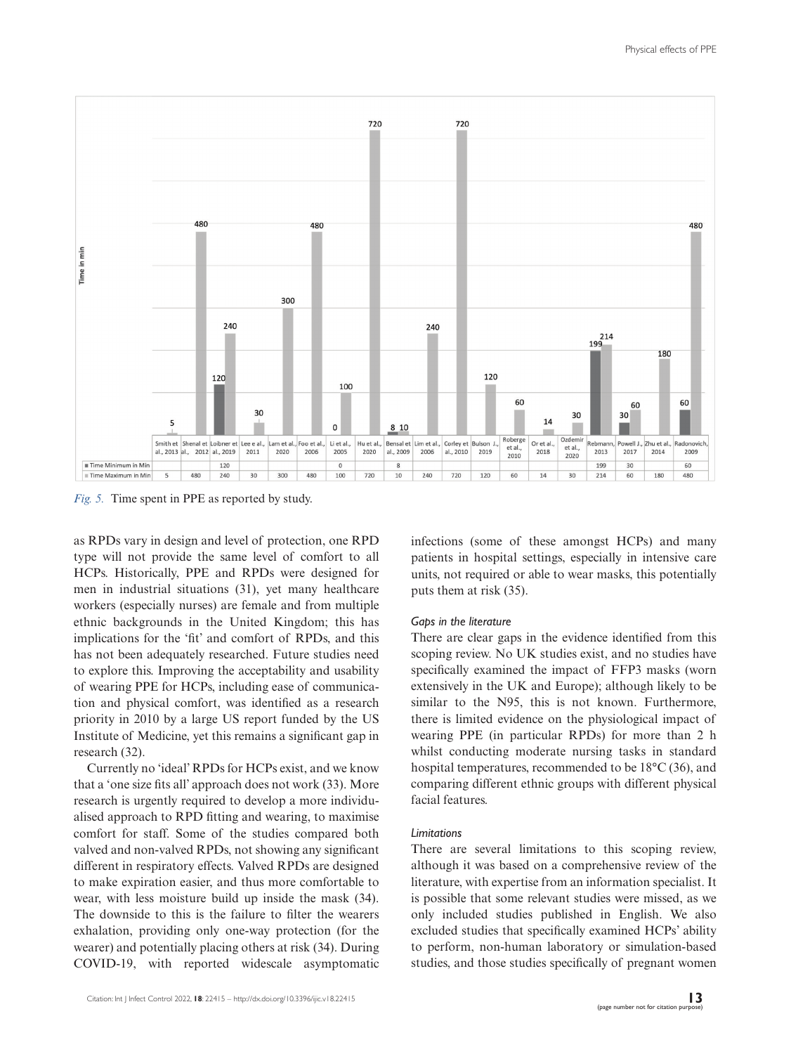

*Fig. 5.* Time spent in PPE as reported by study.

as RPDs vary in design and level of protection, one RPD type will not provide the same level of comfort to all HCPs. Historically, PPE and RPDs were designed for men in industrial situations (31), yet many healthcare workers (especially nurses) are female and from multiple ethnic backgrounds in the United Kingdom; this has implications for the 'fit' and comfort of RPDs, and this has not been adequately researched. Future studies need to explore this. Improving the acceptability and usability of wearing PPE for HCPs, including ease of communication and physical comfort, was identified as a research priority in 2010 by a large US report funded by the US Institute of Medicine, yet this remains a significant gap in research (32).

Currently no 'ideal' RPDs for HCPs exist, and we know that a 'one size fits all' approach does not work (33). More research is urgently required to develop a more individualised approach to RPD fitting and wearing, to maximise comfort for staff. Some of the studies compared both valved and non-valved RPDs, not showing any significant different in respiratory effects. Valved RPDs are designed to make expiration easier, and thus more comfortable to wear, with less moisture build up inside the mask (34). The downside to this is the failure to filter the wearers exhalation, providing only one-way protection (for the wearer) and potentially placing others at risk (34). During COVID-19, with reported widescale asymptomatic

units, not required or able to wear masks, this potentially puts them at risk (35). *Gaps in the literature*

infections (some of these amongst HCPs) and many patients in hospital settings, especially in intensive care

There are clear gaps in the evidence identified from this scoping review. No UK studies exist, and no studies have specifically examined the impact of FFP3 masks (worn extensively in the UK and Europe); although likely to be similar to the N95, this is not known. Furthermore, there is limited evidence on the physiological impact of wearing PPE (in particular RPDs) for more than 2 h whilst conducting moderate nursing tasks in standard hospital temperatures, recommended to be 18°C (36), and comparing different ethnic groups with different physical facial features.

#### *Limitations*

There are several limitations to this scoping review, although it was based on a comprehensive review of the literature, with expertise from an information specialist. It is possible that some relevant studies were missed, as we only included studies published in English. We also excluded studies that specifically examined HCPs' ability to perform, non-human laboratory or simulation-based studies, and those studies specifically of pregnant women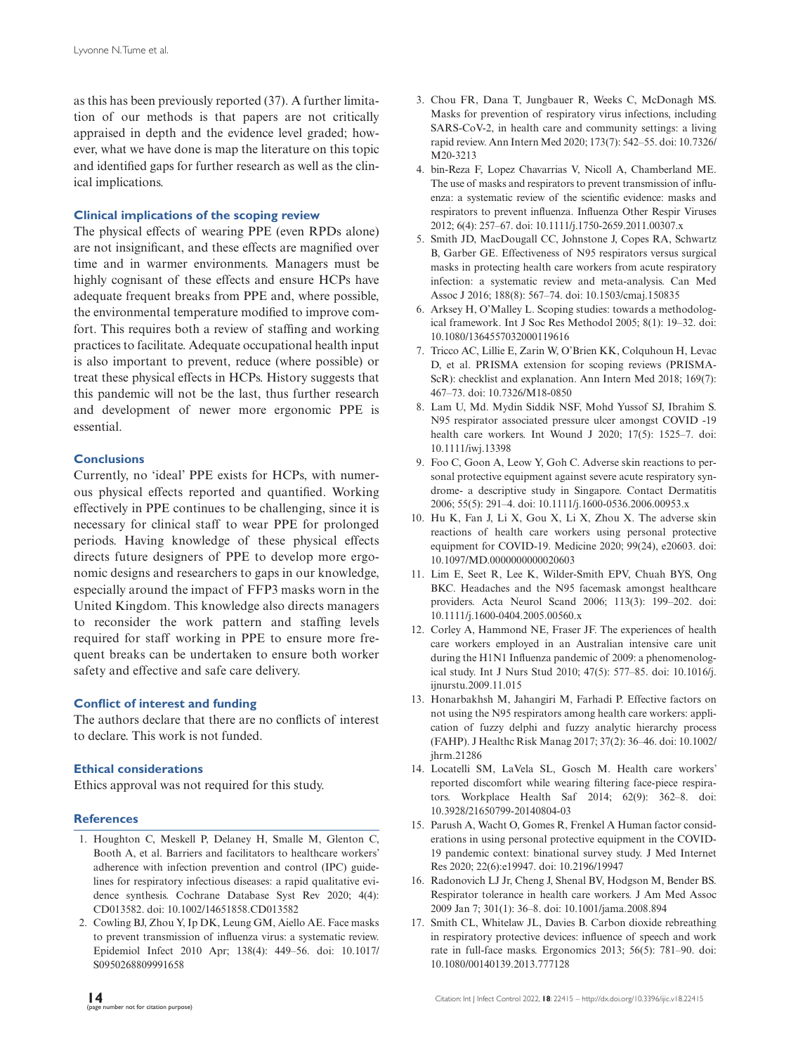as this has been previously reported (37). A further limitation of our methods is that papers are not critically appraised in depth and the evidence level graded; however, what we have done is map the literature on this topic and identified gaps for further research as well as the clinical implications.

#### **Clinical implications of the scoping review**

The physical effects of wearing PPE (even RPDs alone) are not insignificant, and these effects are magnified over time and in warmer environments. Managers must be highly cognisant of these effects and ensure HCPs have adequate frequent breaks from PPE and, where possible, the environmental temperature modified to improve comfort. This requires both a review of staffing and working practices to facilitate. Adequate occupational health input is also important to prevent, reduce (where possible) or treat these physical effects in HCPs. History suggests that this pandemic will not be the last, thus further research and development of newer more ergonomic PPE is essential.

#### **Conclusions**

Currently, no 'ideal' PPE exists for HCPs, with numerous physical effects reported and quantified. Working effectively in PPE continues to be challenging, since it is necessary for clinical staff to wear PPE for prolonged periods. Having knowledge of these physical effects directs future designers of PPE to develop more ergonomic designs and researchers to gaps in our knowledge, especially around the impact of FFP3 masks worn in the United Kingdom. This knowledge also directs managers to reconsider the work pattern and staffing levels required for staff working in PPE to ensure more frequent breaks can be undertaken to ensure both worker safety and effective and safe care delivery.

#### **Conflict of interest and funding**

The authors declare that there are no conflicts of interest to declare. This work is not funded.

#### **Ethical considerations**

Ethics approval was not required for this study.

#### **References**

- 1. Houghton C, Meskell P, Delaney H, Smalle M, Glenton C, Booth A, et al. Barriers and facilitators to healthcare workers' adherence with infection prevention and control (IPC) guidelines for respiratory infectious diseases: a rapid qualitative evidence synthesis. Cochrane Database Syst Rev 2020; 4(4): CD013582. doi: [10.1002/14651858.CD013582](http://dx.doi.org/10.1002/14651858.CD013582)
- 2. Cowling BJ, Zhou Y, Ip DK, Leung GM, Aiello AE. Face masks to prevent transmission of influenza virus: a systematic review. Epidemiol Infect 2010 Apr; 138(4): 449–56. doi: [10.1017/](http://dx.doi.org/10.1017/S0950268809991658) [S0950268809991658](http://dx.doi.org/10.1017/S0950268809991658)
- 3. Chou FR, Dana T, Jungbauer R, Weeks C, McDonagh MS. Masks for prevention of respiratory virus infections, including SARS-CoV-2, in health care and community settings: a living rapid review. Ann Intern Med 2020; 173(7): 542–55. doi: [10.7326/](http://dx.doi.org/10.7326/M20-3213) [M20-3213](http://dx.doi.org/10.7326/M20-3213)
- 4. bin-Reza F, Lopez Chavarrias V, Nicoll A, Chamberland ME. The use of masks and respirators to prevent transmission of influenza: a systematic review of the scientific evidence: masks and respirators to prevent influenza. Influenza Other Respir Viruses 2012; 6(4): 257–67. doi: [10.1111/j.1750-2659.2011.00307.x](http://dx.doi.org/10.1111/j.1750-2659.2011.00307.x)
- 5. Smith JD, MacDougall CC, Johnstone J, Copes RA, Schwartz B, Garber GE. Effectiveness of N95 respirators versus surgical masks in protecting health care workers from acute respiratory infection: a systematic review and meta-analysis. Can Med Assoc J 2016; 188(8): 567–74. doi: [10.1503/cmaj.150835](http://dx.doi.org/10.1503/cmaj.150835)
- 6. Arksey H, O'Malley L. Scoping studies: towards a methodological framework. Int J Soc Res Methodol 2005; 8(1): 19–32. doi: [10.1080/1364557032000119616](http://dx.doi.org/10.1080/1364557032000119616)
- 7. Tricco AC, Lillie E, Zarin W, O'Brien KK, Colquhoun H, Levac D, et al. PRISMA extension for scoping reviews (PRISMA-ScR): checklist and explanation. Ann Intern Med 2018; 169(7): 467–73. doi: [10.7326/M18-0850](http://dx.doi.org/10.7326/M18-0850)
- 8. Lam U, Md. Mydin Siddik NSF, Mohd Yussof SJ, Ibrahim S. N95 respirator associated pressure ulcer amongst COVID -19 health care workers. Int Wound J 2020; 17(5): 1525–7. doi: [10.1111/iwj.13398](http://dx.doi.org/10.1111/iwj.13398)
- 9. Foo C, Goon A, Leow Y, Goh C. Adverse skin reactions to personal protective equipment against severe acute respiratory syndrome- a descriptive study in Singapore. Contact Dermatitis 2006; 55(5): 291–4. doi: [10.1111/j.1600-0536.2006.00953.x](http://dx.doi.org/10.1111/j.1600-0536.2006.00953.x)
- 10. Hu K, Fan J, Li X, Gou X, Li X, Zhou X. The adverse skin reactions of health care workers using personal protective equipment for COVID-19. Medicine 2020; 99(24), e20603. doi: [10.1097/MD.0000000000020603](http://dx.doi.org/10.1097/MD.0000000000020603)
- 11. Lim E, Seet R, Lee K, Wilder-Smith EPV, Chuah BYS, Ong BKC. Headaches and the N95 facemask amongst healthcare providers. Acta Neurol Scand 2006; 113(3): 199–202. doi: [10.1111/j.1600-0404.2005.00560.x](http://dx.doi.org/10.1111/j.1600-0404.2005.00560.x)
- 12. Corley A, Hammond NE, Fraser JF. The experiences of health care workers employed in an Australian intensive care unit during the H1N1 Influenza pandemic of 2009: a phenomenological study. Int J Nurs Stud 2010; 47(5): 577–85. doi: [10.1016/j.](http://dx.doi.org/10.1016/j.ijnurstu.2009.11.015) [ijnurstu.2009.11.015](http://dx.doi.org/10.1016/j.ijnurstu.2009.11.015)
- 13. Honarbakhsh M, Jahangiri M, Farhadi P. Effective factors on not using the N95 respirators among health care workers: application of fuzzy delphi and fuzzy analytic hierarchy process (FAHP). J Healthc Risk Manag 2017; 37(2): 36–46. doi: [10.1002/](http://dx.doi.org/10.1002/jhrm.21286) [jhrm.21286](http://dx.doi.org/10.1002/jhrm.21286)
- 14. Locatelli SM, LaVela SL, Gosch M. Health care workers' reported discomfort while wearing filtering face-piece respirators. Workplace Health Saf 2014; 62(9): 362–8. doi: [10.3928/21650799-20140804-03](http://dx.doi.org/10.3928/21650799-20140804-03)
- 15. Parush A, Wacht O, Gomes R, Frenkel A Human factor considerations in using personal protective equipment in the COVID-19 pandemic context: binational survey study. J Med Internet Res 2020; 22(6):e19947. doi: [10.2196/19947](http://dx.doi.org/10.2196/19947)
- 16. Radonovich LJ Jr, Cheng J, Shenal BV, Hodgson M, Bender BS. Respirator tolerance in health care workers. J Am Med Assoc 2009 Jan 7; 301(1): 36–8. doi: [10.1001/jama.2008.894](http://dx.doi.org/10.1001/jama.2008.894)
- 17. Smith CL, Whitelaw JL, Davies B. Carbon dioxide rebreathing in respiratory protective devices: influence of speech and work rate in full-face masks. Ergonomics 2013; 56(5): 781–90. doi: [10.1080/00140139.2013.777128](http://dx.doi.org/10.1080/00140139.2013.777128)